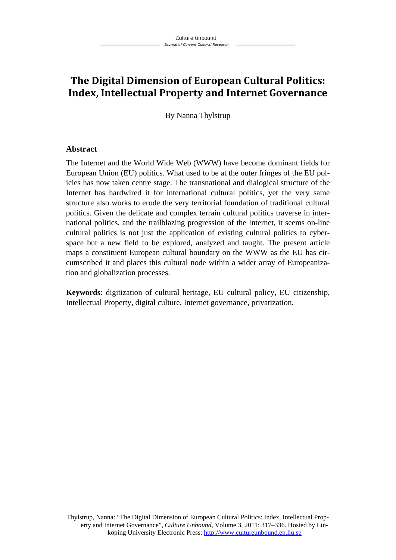# **The Digital Dimension of European Cultural Politics: Index, Intellectual Property and Internet Governance**

By Nanna Thylstrup

#### **Abstract**

The Internet and the World Wide Web (WWW) have become dominant fields for European Union (EU) politics. What used to be at the outer fringes of the EU policies has now taken centre stage. The transnational and dialogical structure of the Internet has hardwired it for international cultural politics, yet the very same structure also works to erode the very territorial foundation of traditional cultural politics. Given the delicate and complex terrain cultural politics traverse in international politics, and the trailblazing progression of the Internet, it seems on-line cultural politics is not just the application of existing cultural politics to cyberspace but a new field to be explored, analyzed and taught. The present article maps a constituent European cultural boundary on the WWW as the EU has circumscribed it and places this cultural node within a wider array of Europeanization and globalization processes.

**Keywords**: digitization of cultural heritage, EU cultural policy, EU citizenship, Intellectual Property, digital culture, Internet governance, privatization.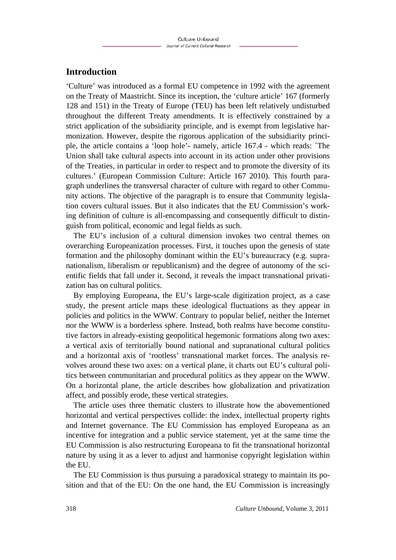### **Introduction**

'Culture' was introduced as a formal EU competence in 1992 with the agreement on the Treaty of Maastricht. Since its inception, the 'culture article' 167 (formerly 128 and 151) in the Treaty of Europe (TEU) has been left relatively undisturbed throughout the different Treaty amendments. It is effectively constrained by a strict application of the subsidiarity principle, and is exempt from legislative harmonization. However, despite the rigorous application of the subsidiarity principle, the article contains a 'loop hole'- namely, article 167.4 - which reads: ´The Union shall take cultural aspects into account in its action under other provisions of the Treaties, in particular in order to respect and to promote the diversity of its cultures.' (European Commission Culture: Article 167 2010). This fourth paragraph underlines the transversal character of culture with regard to other Community actions. The objective of the paragraph is to ensure that Community legislation covers cultural issues. But it also indicates that the EU Commission's working definition of culture is all-encompassing and consequently difficult to distinguish from political, economic and legal fields as such.

The EU's inclusion of a cultural dimension invokes two central themes on overarching Europeanization processes. First, it touches upon the genesis of state formation and the philosophy dominant within the EU's bureaucracy (e.g. supranationalism, liberalism or republicanism) and the degree of autonomy of the scientific fields that fall under it. Second, it reveals the impact transnational privatization has on cultural politics.

By employing Europeana, the EU's large-scale digitization project, as a case study, the present article maps these ideological fluctuations as they appear in policies and politics in the WWW. Contrary to popular belief, neither the Internet nor the WWW is a borderless sphere. Instead, both realms have become constitutive factors in already-existing geopolitical hegemonic formations along two axes: a vertical axis of territorially bound national and supranational cultural politics and a horizontal axis of 'rootless' transnational market forces. The analysis revolves around these two axes: on a vertical plane, it charts out EU's cultural politics between communitarian and procedural politics as they appear on the WWW. On a horizontal plane, the article describes how globalization and privatization affect, and possibly erode, these vertical strategies.

The article uses three thematic clusters to illustrate how the abovementioned horizontal and vertical perspectives collide: the index, intellectual property rights and Internet governance. The EU Commission has employed Europeana as an incentive for integration and a public service statement, yet at the same time the EU Commission is also restructuring Europeana to fit the transnational horizontal nature by using it as a lever to adjust and harmonise copyright legislation within the EU.

The EU Commission is thus pursuing a paradoxical strategy to maintain its position and that of the EU: On the one hand, the EU Commission is increasingly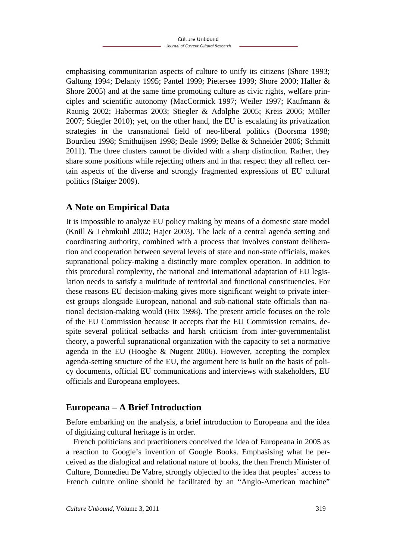emphasising communitarian aspects of culture to unify its citizens (Shore 1993; Galtung 1994; Delanty 1995; Pantel 1999; Pietersee 1999; Shore 2000; Haller & Shore 2005) and at the same time promoting culture as civic rights, welfare principles and scientific autonomy (MacCormick 1997; Weiler 1997; Kaufmann & Raunig 2002; Habermas 2003; Stiegler & Adolphe 2005; Kreis 2006; Müller 2007; Stiegler 2010); yet, on the other hand, the EU is escalating its privatization strategies in the transnational field of neo-liberal politics (Boorsma 1998; Bourdieu 1998; Smithuijsen 1998; Beale 1999; Belke & Schneider 2006; Schmitt 2011). The three clusters cannot be divided with a sharp distinction. Rather, they share some positions while rejecting others and in that respect they all reflect certain aspects of the diverse and strongly fragmented expressions of EU cultural politics (Staiger 2009).

## **A Note on Empirical Data**

It is impossible to analyze EU policy making by means of a domestic state model (Knill & Lehmkuhl 2002; Hajer 2003). The lack of a central agenda setting and coordinating authority, combined with a process that involves constant deliberation and cooperation between several levels of state and non-state officials, makes supranational policy-making a distinctly more complex operation. In addition to this procedural complexity, the national and international adaptation of EU legislation needs to satisfy a multitude of territorial and functional constituencies. For these reasons EU decision-making gives more significant weight to private interest groups alongside European, national and sub-national state officials than national decision-making would (Hix 1998). The present article focuses on the role of the EU Commission because it accepts that the EU Commission remains, despite several political setbacks and harsh criticism from inter-governmentalist theory, a powerful supranational organization with the capacity to set a normative agenda in the EU (Hooghe & Nugent 2006). However, accepting the complex agenda-setting structure of the EU, the argument here is built on the basis of policy documents, official EU communications and interviews with stakeholders, EU officials and Europeana employees.

### **Europeana – A Brief Introduction**

Before embarking on the analysis, a brief introduction to Europeana and the idea of digitizing cultural heritage is in order.

French politicians and practitioners conceived the idea of Europeana in 2005 as a reaction to Google's invention of Google Books. Emphasising what he perceived as the dialogical and relational nature of books, the then French Minister of Culture, Donnedieu De Vabre, strongly objected to the idea that peoples' access to French culture online should be facilitated by an "Anglo-American machine"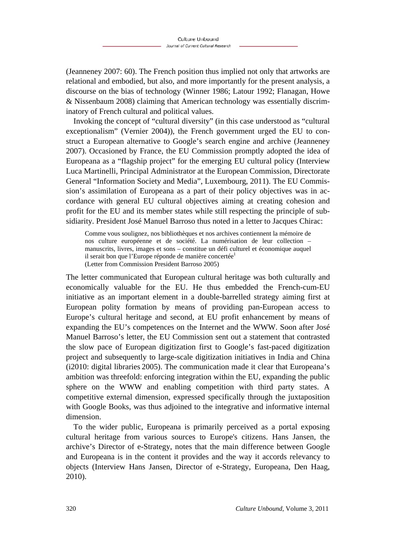(Jeanneney 2007: 60). The French position thus implied not only that artworks are relational and embodied, but also, and more importantly for the present analysis, a discourse on the bias of technology (Winner 1986; Latour 1992; Flanagan, Howe & Nissenbaum 2008) claiming that American technology was essentially discriminatory of French cultural and political values.

Invoking the concept of "cultural diversity" (in this case understood as "cultural exceptionalism" (Vernier 2004)), the French government urged the EU to construct a European alternative to Google's search engine and archive (Jeanneney 2007). Occasioned by France, the EU Commission promptly adopted the idea of Europeana as a "flagship project" for the emerging EU cultural policy (Interview Luca Martinelli, Principal Administrator at the European Commission, Directorate General "Information Society and Media", Luxembourg, 2011). The EU Commission's assimilation of Europeana as a part of their policy objectives was in accordance with general EU cultural objectives aiming at creating cohesion and profit for the EU and its member states while still respecting the principle of subsidiarity. President José Manuel Barroso thus noted in a letter to Jacques Chirac:

Comme vous soulignez, nos bibliothèques et nos archives contiennent la mémoire de nos culture européenne et de société. La numérisation de leur collection – manuscrits, livres, images et sons – constitue un défi culturel et économique auquel il serait bon que l'Europe réponde de manière concertée<sup>1</sup> (Letter from Commission President Barroso 2005)

The letter communicated that European cultural heritage was both culturally and economically valuable for the EU. He thus embedded the French-cum-EU initiative as an important element in a double-barrelled strategy aiming first at European polity formation by means of providing pan-European access to Europe's cultural heritage and second, at EU profit enhancement by means of expanding the EU's competences on the Internet and the WWW. Soon after José Manuel Barroso's letter, the EU Commission sent out a statement that contrasted the slow pace of European digitization first to Google's fast-paced digitization project and subsequently to large-scale digitization initiatives in India and China (i2010: digital libraries 2005). The communication made it clear that Europeana's ambition was threefold: enforcing integration within the EU, expanding the public sphere on the WWW and enabling competition with third party states. A competitive external dimension, expressed specifically through the juxtaposition with Google Books, was thus adjoined to the integrative and informative internal dimension.

To the wider public, Europeana is primarily perceived as a portal exposing cultural heritage from various sources to Europe's citizens. Hans Jansen, the archive's Director of e-Strategy, notes that the main difference between Google and Europeana is in the content it provides and the way it accords relevancy to objects (Interview Hans Jansen, Director of e-Strategy, Europeana, Den Haag, 2010).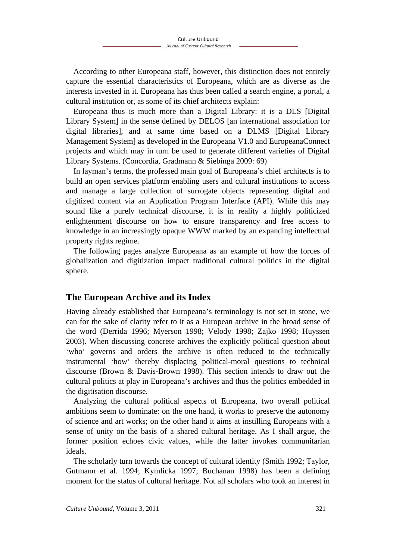According to other Europeana staff, however, this distinction does not entirely capture the essential characteristics of Europeana, which are as diverse as the interests invested in it. Europeana has thus been called a search engine, a portal, a cultural institution or, as some of its chief architects explain:

Europeana thus is much more than a Digital Library: it is a DLS [Digital Library System] in the sense defined by DELOS [an international association for digital libraries], and at same time based on a DLMS [Digital Library Management System] as developed in the Europeana V1.0 and EuropeanaConnect projects and which may in turn be used to generate different varieties of Digital Library Systems. (Concordia, Gradmann & Siebinga 2009: 69)

In layman's terms, the professed main goal of Europeana's chief architects is to build an open services platform enabling users and cultural institutions to access and manage a large collection of surrogate objects representing digital and digitized content via an Application Program Interface (API). While this may sound like a purely technical discourse, it is in reality a highly politicized enlightenment discourse on how to ensure transparency and free access to knowledge in an increasingly opaque WWW marked by an expanding intellectual property rights regime.

The following pages analyze Europeana as an example of how the forces of globalization and digitization impact traditional cultural politics in the digital sphere.

### **The European Archive and its Index**

Having already established that Europeana's terminology is not set in stone, we can for the sake of clarity refer to it as a European archive in the broad sense of the word (Derrida 1996; Myerson 1998; Velody 1998; Zajko 1998; Huyssen 2003). When discussing concrete archives the explicitly political question about 'who' governs and orders the archive is often reduced to the technically instrumental 'how' thereby displacing political-moral questions to technical discourse (Brown & Davis-Brown 1998). This section intends to draw out the cultural politics at play in Europeana's archives and thus the politics embedded in the digitisation discourse.

Analyzing the cultural political aspects of Europeana, two overall political ambitions seem to dominate: on the one hand, it works to preserve the autonomy of science and art works; on the other hand it aims at instilling Europeans with a sense of unity on the basis of a shared cultural heritage. As I shall argue, the former position echoes civic values, while the latter invokes communitarian ideals.

The scholarly turn towards the concept of cultural identity (Smith 1992; Taylor, Gutmann et al. 1994; Kymlicka 1997; Buchanan 1998) has been a defining moment for the status of cultural heritage. Not all scholars who took an interest in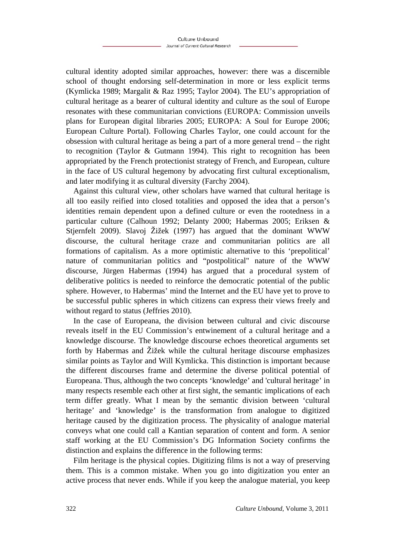cultural identity adopted similar approaches, however: there was a discernible school of thought endorsing self-determination in more or less explicit terms (Kymlicka 1989; Margalit & Raz 1995; Taylor 2004). The EU's appropriation of cultural heritage as a bearer of cultural identity and culture as the soul of Europe resonates with these communitarian convictions (EUROPA: Commission unveils plans for European digital libraries 2005; EUROPA: A Soul for Europe 2006; European Culture Portal). Following Charles Taylor, one could account for the obsession with cultural heritage as being a part of a more general trend – the right to recognition (Taylor & Gutmann 1994). This right to recognition has been appropriated by the French protectionist strategy of French, and European, culture in the face of US cultural hegemony by advocating first cultural exceptionalism, and later modifying it as cultural diversity (Farchy 2004).

Against this cultural view, other scholars have warned that cultural heritage is all too easily reified into closed totalities and opposed the idea that a person's identities remain dependent upon a defined culture or even the rootedness in a particular culture (Calhoun 1992; Delanty 2000; Habermas 2005; Eriksen & Stiernfelt 2009). Slavoi Žižek (1997) has argued that the dominant WWW discourse, the cultural heritage craze and communitarian politics are all formations of capitalism. As a more optimistic alternative to this 'prepolitical' nature of communitarian politics and "postpolitical" nature of the WWW discourse, Jürgen Habermas (1994) has argued that a procedural system of deliberative politics is needed to reinforce the democratic potential of the public sphere. However, to Habermas' mind the Internet and the EU have yet to prove to be successful public spheres in which citizens can express their views freely and without regard to status (Jeffries 2010).

In the case of Europeana, the division between cultural and civic discourse reveals itself in the EU Commission's entwinement of a cultural heritage and a knowledge discourse. The knowledge discourse echoes theoretical arguments set forth by Habermas and Žižek while the cultural heritage discourse emphasizes similar points as Taylor and Will Kymlicka. This distinction is important because the different discourses frame and determine the diverse political potential of Europeana. Thus, although the two concepts 'knowledge' and 'cultural heritage' in many respects resemble each other at first sight, the semantic implications of each term differ greatly. What I mean by the semantic division between 'cultural heritage' and 'knowledge' is the transformation from analogue to digitized heritage caused by the digitization process. The physicality of analogue material conveys what one could call a Kantian separation of content and form. A senior staff working at the EU Commission's DG Information Society confirms the distinction and explains the difference in the following terms:

Film heritage is the physical copies. Digitizing films is not a way of preserving them. This is a common mistake. When you go into digitization you enter an active process that never ends. While if you keep the analogue material, you keep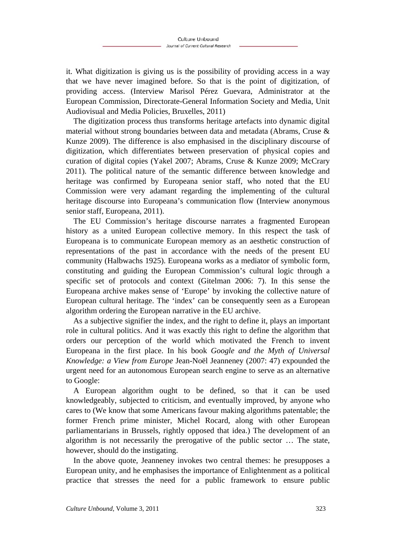it. What digitization is giving us is the possibility of providing access in a way that we have never imagined before. So that is the point of digitization, of providing access. (Interview Marisol Pérez Guevara, Administrator at the European Commission, Directorate-General Information Society and Media, Unit Audiovisual and Media Policies, Bruxelles, 2011)

The digitization process thus transforms heritage artefacts into dynamic digital material without strong boundaries between data and metadata (Abrams, Cruse & Kunze 2009). The difference is also emphasised in the disciplinary discourse of digitization, which differentiates between preservation of physical copies and curation of digital copies (Yakel 2007; Abrams, Cruse & Kunze 2009; McCrary 2011). The political nature of the semantic difference between knowledge and heritage was confirmed by Europeana senior staff, who noted that the EU Commission were very adamant regarding the implementing of the cultural heritage discourse into Europeana's communication flow (Interview anonymous senior staff, Europeana, 2011).

The EU Commission's heritage discourse narrates a fragmented European history as a united European collective memory. In this respect the task of Europeana is to communicate European memory as an aesthetic construction of representations of the past in accordance with the needs of the present EU community (Halbwachs 1925). Europeana works as a mediator of symbolic form, constituting and guiding the European Commission's cultural logic through a specific set of protocols and context (Gitelman 2006: 7). In this sense the Europeana archive makes sense of 'Europe' by invoking the collective nature of European cultural heritage. The 'index' can be consequently seen as a European algorithm ordering the European narrative in the EU archive.

As a subjective signifier the index, and the right to define it, plays an important role in cultural politics. And it was exactly this right to define the algorithm that orders our perception of the world which motivated the French to invent Europeana in the first place. In his book *Google and the Myth of Universal Knowledge: a View from Europe* Jean-Noël Jeanneney (2007: 47) expounded the urgent need for an autonomous European search engine to serve as an alternative to Google:

A European algorithm ought to be defined, so that it can be used knowledgeably, subjected to criticism, and eventually improved, by anyone who cares to (We know that some Americans favour making algorithms patentable; the former French prime minister, Michel Rocard, along with other European parliamentarians in Brussels, rightly opposed that idea.) The development of an algorithm is not necessarily the prerogative of the public sector … The state, however, should do the instigating.

In the above quote, Jeanneney invokes two central themes: he presupposes a European unity, and he emphasises the importance of Enlightenment as a political practice that stresses the need for a public framework to ensure public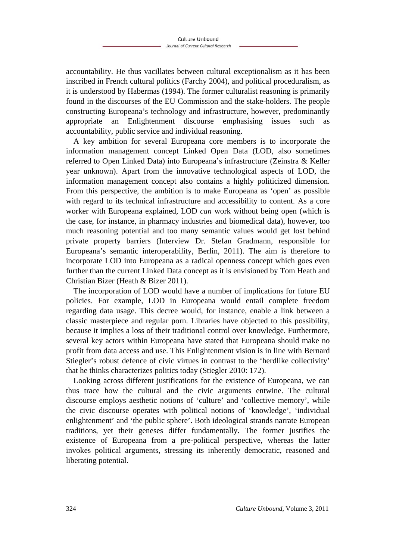accountability. He thus vacillates between cultural exceptionalism as it has been inscribed in French cultural politics (Farchy 2004), and political proceduralism, as it is understood by Habermas (1994). The former culturalist reasoning is primarily found in the discourses of the EU Commission and the stake-holders. The people constructing Europeana's technology and infrastructure, however, predominantly appropriate an Enlightenment discourse emphasising issues such as accountability, public service and individual reasoning.

A key ambition for several Europeana core members is to incorporate the information management concept Linked Open Data (LOD, also sometimes referred to Open Linked Data) into Europeana's infrastructure (Zeinstra & Keller year unknown). Apart from the innovative technological aspects of LOD, the information management concept also contains a highly politicized dimension. From this perspective, the ambition is to make Europeana as 'open' as possible with regard to its technical infrastructure and accessibility to content. As a core worker with Europeana explained, LOD *can* work without being open (which is the case, for instance, in pharmacy industries and biomedical data), however, too much reasoning potential and too many semantic values would get lost behind private property barriers (Interview Dr. Stefan Gradmann, responsible for Europeana's semantic interoperability, Berlin, 2011). The aim is therefore to incorporate LOD into Europeana as a radical openness concept which goes even further than the current Linked Data concept as it is envisioned by Tom Heath and Christian Bizer (Heath & Bizer 2011).

The incorporation of LOD would have a number of implications for future EU policies. For example, LOD in Europeana would entail complete freedom regarding data usage. This decree would, for instance, enable a link between a classic masterpiece and regular porn. Libraries have objected to this possibility, because it implies a loss of their traditional control over knowledge. Furthermore, several key actors within Europeana have stated that Europeana should make no profit from data access and use. This Enlightenment vision is in line with Bernard Stiegler's robust defence of civic virtues in contrast to the 'herdlike collectivity' that he thinks characterizes politics today (Stiegler 2010: 172).

Looking across different justifications for the existence of Europeana, we can thus trace how the cultural and the civic arguments entwine. The cultural discourse employs aesthetic notions of 'culture' and 'collective memory', while the civic discourse operates with political notions of 'knowledge', 'individual enlightenment' and 'the public sphere'. Both ideological strands narrate European traditions, yet their geneses differ fundamentally. The former justifies the existence of Europeana from a pre-political perspective, whereas the latter invokes political arguments, stressing its inherently democratic, reasoned and liberating potential.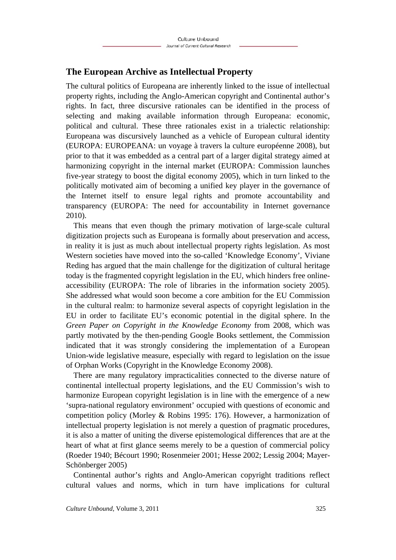### **The European Archive as Intellectual Property**

The cultural politics of Europeana are inherently linked to the issue of intellectual property rights, including the Anglo-American copyright and Continental author's rights. In fact, three discursive rationales can be identified in the process of selecting and making available information through Europeana: economic, political and cultural. These three rationales exist in a trialectic relationship: Europeana was discursively launched as a vehicle of European cultural identity (EUROPA: EUROPEANA: un voyage à travers la culture européenne 2008), but prior to that it was embedded as a central part of a larger digital strategy aimed at harmonizing copyright in the internal market (EUROPA: Commission launches five-year strategy to boost the digital economy 2005), which in turn linked to the politically motivated aim of becoming a unified key player in the governance of the Internet itself to ensure legal rights and promote accountability and transparency (EUROPA: The need for accountability in Internet governance 2010).

This means that even though the primary motivation of large-scale cultural digitization projects such as Europeana is formally about preservation and access, in reality it is just as much about intellectual property rights legislation. As most Western societies have moved into the so-called 'Knowledge Economy', Viviane Reding has argued that the main challenge for the digitization of cultural heritage today is the fragmented copyright legislation in the EU, which hinders free onlineaccessibility (EUROPA: The role of libraries in the information society 2005). She addressed what would soon become a core ambition for the EU Commission in the cultural realm: to harmonize several aspects of copyright legislation in the EU in order to facilitate EU's economic potential in the digital sphere. In the *Green Paper on Copyright in the Knowledge Economy* from 2008, which was partly motivated by the then-pending Google Books settlement, the Commission indicated that it was strongly considering the implementation of a European Union-wide legislative measure, especially with regard to legislation on the issue of Orphan Works (Copyright in the Knowledge Economy 2008).

There are many regulatory impracticalities connected to the diverse nature of continental intellectual property legislations, and the EU Commission's wish to harmonize European copyright legislation is in line with the emergence of a new 'supra-national regulatory environment' occupied with questions of economic and competition policy (Morley & Robins 1995: 176). However, a harmonization of intellectual property legislation is not merely a question of pragmatic procedures, it is also a matter of uniting the diverse epistemological differences that are at the heart of what at first glance seems merely to be a question of commercial policy (Roeder 1940; Bécourt 1990; Rosenmeier 2001; Hesse 2002; Lessig 2004; Mayer-Schönberger 2005)

Continental author's rights and Anglo-American copyright traditions reflect cultural values and norms, which in turn have implications for cultural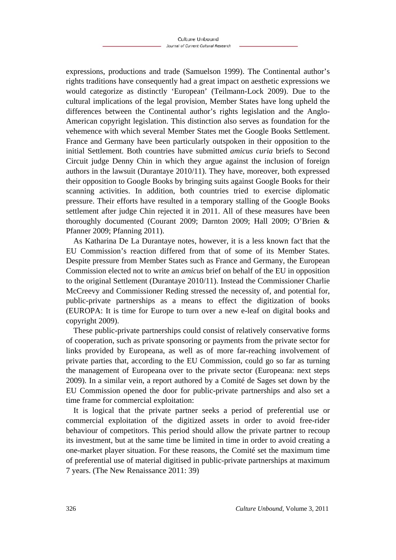expressions, productions and trade (Samuelson 1999). The Continental author's rights traditions have consequently had a great impact on aesthetic expressions we would categorize as distinctly 'European' (Teilmann-Lock 2009). Due to the cultural implications of the legal provision, Member States have long upheld the differences between the Continental author's rights legislation and the Anglo-American copyright legislation. This distinction also serves as foundation for the vehemence with which several Member States met the Google Books Settlement. France and Germany have been particularly outspoken in their opposition to the initial Settlement. Both countries have submitted *amicus curia* briefs to Second Circuit judge Denny Chin in which they argue against the inclusion of foreign authors in the lawsuit (Durantaye 2010/11). They have, moreover, both expressed their opposition to Google Books by bringing suits against Google Books for their scanning activities. In addition, both countries tried to exercise diplomatic pressure. Their efforts have resulted in a temporary stalling of the Google Books settlement after judge Chin rejected it in 2011. All of these measures have been thoroughly documented (Courant 2009; Darnton 2009; Hall 2009; O'Brien & Pfanner 2009; Pfanning 2011).

As Katharina De La Durantaye notes, however, it is a less known fact that the EU Commission's reaction differed from that of some of its Member States. Despite pressure from Member States such as France and Germany, the European Commission elected not to write an *amicus* brief on behalf of the EU in opposition to the original Settlement (Durantaye 2010/11). Instead the Commissioner Charlie McCreevy and Commissioner Reding stressed the necessity of, and potential for, public-private partnerships as a means to effect the digitization of books (EUROPA: It is time for Europe to turn over a new e-leaf on digital books and copyright 2009).

These public-private partnerships could consist of relatively conservative forms of cooperation, such as private sponsoring or payments from the private sector for links provided by Europeana, as well as of more far-reaching involvement of private parties that, according to the EU Commission, could go so far as turning the management of Europeana over to the private sector (Europeana: next steps 2009). In a similar vein, a report authored by a Comité de Sages set down by the EU Commission opened the door for public-private partnerships and also set a time frame for commercial exploitation:

It is logical that the private partner seeks a period of preferential use or commercial exploitation of the digitized assets in order to avoid free-rider behaviour of competitors. This period should allow the private partner to recoup its investment, but at the same time be limited in time in order to avoid creating a one-market player situation. For these reasons, the Comité set the maximum time of preferential use of material digitised in public-private partnerships at maximum 7 years. (The New Renaissance 2011: 39)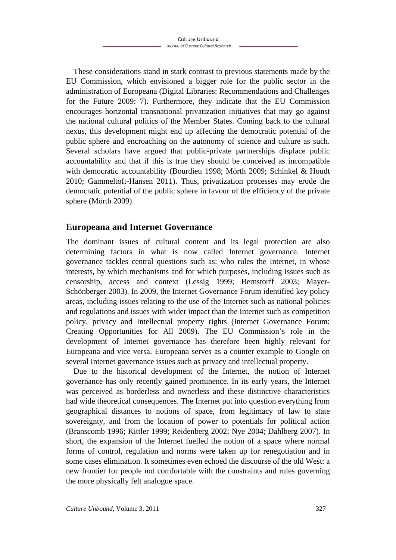These considerations stand in stark contrast to previous statements made by the EU Commission, which envisioned a bigger role for the public sector in the administration of Europeana (Digital Libraries: Recommendations and Challenges for the Future 2009: 7). Furthermore, they indicate that the EU Commission encourages horizontal transnational privatization initiatives that may go against the national cultural politics of the Member States. Coming back to the cultural nexus, this development might end up affecting the democratic potential of the public sphere and encroaching on the autonomy of science and culture as such. Several scholars have argued that public-private partnerships displace public accountability and that if this is true they should be conceived as incompatible with democratic accountability (Bourdieu 1998; Mörth 2009; Schinkel & Houdt 2010; Gammeltoft-Hansen 2011). Thus, privatization processes may erode the democratic potential of the public sphere in favour of the efficiency of the private sphere (Mörth 2009).

### **Europeana and Internet Governance**

The dominant issues of cultural content and its legal protection are also determining factors in what is now called Internet governance. Internet governance tackles central questions such as: who rules the Internet, in whose interests, by which mechanisms and for which purposes, including issues such as censorship, access and context (Lessig 1999; Bernstorff 2003; Mayer-Schönberger 2003). In 2009, the Internet Governance Forum identified key policy areas, including issues relating to the use of the Internet such as national policies and regulations and issues with wider impact than the Internet such as competition policy, privacy and Intellectual property rights (Internet Governance Forum: Creating Opportunities for All 2009). The EU Commission's role in the development of Internet governance has therefore been highly relevant for Europeana and vice versa. Europeana serves as a counter example to Google on several Internet governance issues such as privacy and intellectual property.

Due to the historical development of the Internet, the notion of Internet governance has only recently gained prominence. In its early years, the Internet was perceived as borderless and ownerless and these distinctive characteristics had wide theoretical consequences. The Internet put into question everything from geographical distances to notions of space, from legitimacy of law to state sovereignty, and from the location of power to potentials for political action (Branscomb 1996; Kittler 1999; Reidenberg 2002; Nye 2004; Dahlberg 2007). In short, the expansion of the Internet fuelled the notion of a space where normal forms of control, regulation and norms were taken up for renegotiation and in some cases elimination. It sometimes even echoed the discourse of the old West: a new frontier for people not comfortable with the constraints and rules governing the more physically felt analogue space.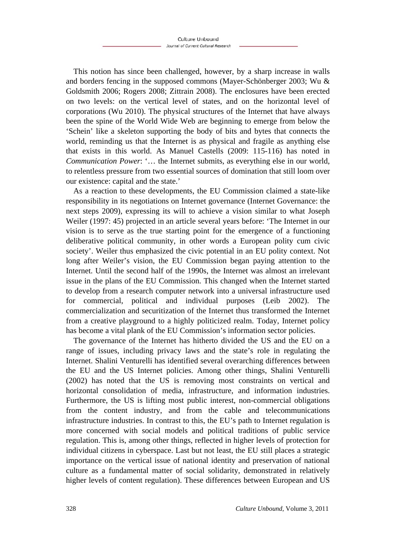This notion has since been challenged, however, by a sharp increase in walls and borders fencing in the supposed commons (Mayer-Schönberger 2003; Wu & Goldsmith 2006; Rogers 2008; Zittrain 2008). The enclosures have been erected on two levels: on the vertical level of states, and on the horizontal level of corporations (Wu 2010). The physical structures of the Internet that have always been the spine of the World Wide Web are beginning to emerge from below the 'Schein' like a skeleton supporting the body of bits and bytes that connects the world, reminding us that the Internet is as physical and fragile as anything else that exists in this world. As Manuel Castells (2009: 115-116) has noted in *Communication Power*: '… the Internet submits, as everything else in our world, to relentless pressure from two essential sources of domination that still loom over our existence: capital and the state.'

As a reaction to these developments, the EU Commission claimed a state-like responsibility in its negotiations on Internet governance (Internet Governance: the next steps 2009), expressing its will to achieve a vision similar to what Joseph Weiler (1997: 45) projected in an article several years before: 'The Internet in our vision is to serve as the true starting point for the emergence of a functioning deliberative political community, in other words a European polity cum civic society'. Weiler thus emphasized the civic potential in an EU polity context. Not long after Weiler's vision, the EU Commission began paying attention to the Internet. Until the second half of the 1990s, the Internet was almost an irrelevant issue in the plans of the EU Commission. This changed when the Internet started to develop from a research computer network into a universal infrastructure used for commercial, political and individual purposes (Leib 2002). The commercialization and securitization of the Internet thus transformed the Internet from a creative playground to a highly politicized realm. Today, Internet policy has become a vital plank of the EU Commission's information sector policies.

The governance of the Internet has hitherto divided the US and the EU on a range of issues, including privacy laws and the state's role in regulating the Internet. Shalini Venturelli has identified several overarching differences between the EU and the US Internet policies. Among other things, Shalini Venturelli (2002) has noted that the US is removing most constraints on vertical and horizontal consolidation of media, infrastructure, and information industries. Furthermore, the US is lifting most public interest, non-commercial obligations from the content industry, and from the cable and telecommunications infrastructure industries. In contrast to this, the EU's path to Internet regulation is more concerned with social models and political traditions of public service regulation. This is, among other things, reflected in higher levels of protection for individual citizens in cyberspace. Last but not least, the EU still places a strategic importance on the vertical issue of national identity and preservation of national culture as a fundamental matter of social solidarity, demonstrated in relatively higher levels of content regulation). These differences between European and US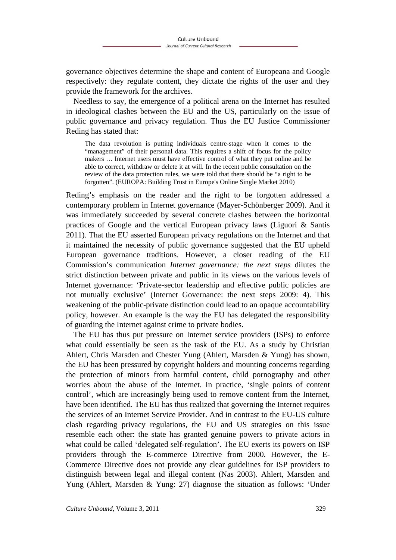governance objectives determine the shape and content of Europeana and Google respectively: they regulate content, they dictate the rights of the user and they provide the framework for the archives.

Needless to say, the emergence of a political arena on the Internet has resulted in ideological clashes between the EU and the US, particularly on the issue of public governance and privacy regulation. Thus the EU Justice Commissioner Reding has stated that:

The data revolution is putting individuals centre-stage when it comes to the "management" of their personal data. This requires a shift of focus for the policy makers … Internet users must have effective control of what they put online and be able to correct, withdraw or delete it at will. In the recent public consultation on the review of the data protection rules, we were told that there should be "a right to be forgotten". (EUROPA: Building Trust in Europe's Online Single Market 2010)

Reding's emphasis on the reader and the right to be forgotten addressed a contemporary problem in Internet governance (Mayer-Schönberger 2009). And it was immediately succeeded by several concrete clashes between the horizontal practices of Google and the vertical European privacy laws (Liguori & Santis 2011). That the EU asserted European privacy regulations on the Internet and that it maintained the necessity of public governance suggested that the EU upheld European governance traditions. However, a closer reading of the EU Commission's communication *Internet governance: the next steps* dilutes the strict distinction between private and public in its views on the various levels of Internet governance: 'Private-sector leadership and effective public policies are not mutually exclusive' (Internet Governance: the next steps 2009: 4). This weakening of the public-private distinction could lead to an opaque accountability policy, however. An example is the way the EU has delegated the responsibility of guarding the Internet against crime to private bodies.

The EU has thus put pressure on Internet service providers (ISPs) to enforce what could essentially be seen as the task of the EU. As a study by Christian Ahlert, Chris Marsden and Chester Yung (Ahlert, Marsden & Yung) has shown, the EU has been pressured by copyright holders and mounting concerns regarding the protection of minors from harmful content, child pornography and other worries about the abuse of the Internet. In practice, 'single points of content control', which are increasingly being used to remove content from the Internet, have been identified. The EU has thus realized that governing the Internet requires the services of an Internet Service Provider. And in contrast to the EU-US culture clash regarding privacy regulations, the EU and US strategies on this issue resemble each other: the state has granted genuine powers to private actors in what could be called 'delegated self-regulation'. The EU exerts its powers on ISP providers through the E-commerce Directive from 2000. However, the E-Commerce Directive does not provide any clear guidelines for ISP providers to distinguish between legal and illegal content (Nas 2003). Ahlert, Marsden and Yung (Ahlert, Marsden & Yung: 27) diagnose the situation as follows: 'Under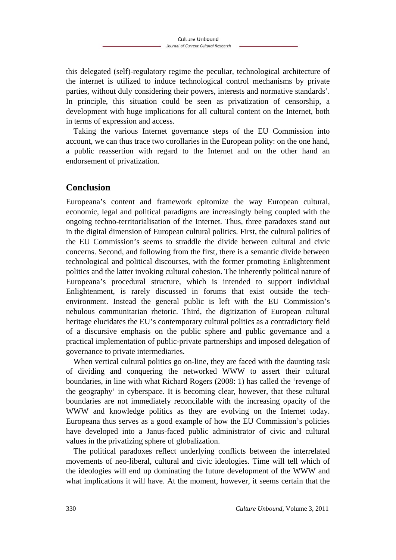this delegated (self)-regulatory regime the peculiar, technological architecture of the internet is utilized to induce technological control mechanisms by private parties, without duly considering their powers, interests and normative standards'. In principle, this situation could be seen as privatization of censorship, a development with huge implications for all cultural content on the Internet, both in terms of expression and access.

Taking the various Internet governance steps of the EU Commission into account, we can thus trace two corollaries in the European polity: on the one hand, a public reassertion with regard to the Internet and on the other hand an endorsement of privatization.

### **Conclusion**

Europeana's content and framework epitomize the way European cultural, economic, legal and political paradigms are increasingly being coupled with the ongoing techno-territorialisation of the Internet. Thus, three paradoxes stand out in the digital dimension of European cultural politics. First, the cultural politics of the EU Commission's seems to straddle the divide between cultural and civic concerns. Second, and following from the first, there is a semantic divide between technological and political discourses, with the former promoting Enlightenment politics and the latter invoking cultural cohesion. The inherently political nature of Europeana's procedural structure, which is intended to support individual Enlightenment, is rarely discussed in forums that exist outside the techenvironment. Instead the general public is left with the EU Commission's nebulous communitarian rhetoric. Third, the digitization of European cultural heritage elucidates the EU's contemporary cultural politics as a contradictory field of a discursive emphasis on the public sphere and public governance and a practical implementation of public-private partnerships and imposed delegation of governance to private intermediaries.

When vertical cultural politics go on-line, they are faced with the daunting task of dividing and conquering the networked WWW to assert their cultural boundaries, in line with what Richard Rogers (2008: 1) has called the 'revenge of the geography' in cyberspace. It is becoming clear, however, that these cultural boundaries are not immediately reconcilable with the increasing opacity of the WWW and knowledge politics as they are evolving on the Internet today. Europeana thus serves as a good example of how the EU Commission's policies have developed into a Janus-faced public administrator of civic and cultural values in the privatizing sphere of globalization.

The political paradoxes reflect underlying conflicts between the interrelated movements of neo-liberal, cultural and civic ideologies. Time will tell which of the ideologies will end up dominating the future development of the WWW and what implications it will have. At the moment, however, it seems certain that the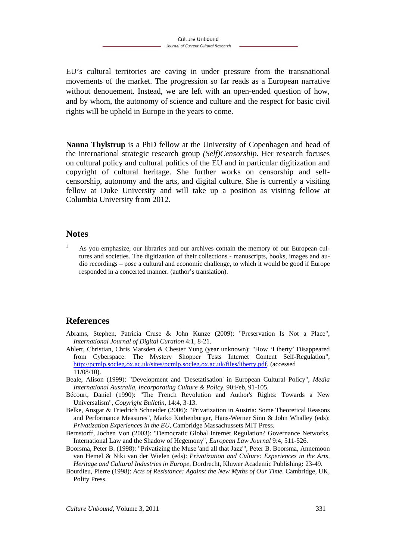EU's cultural territories are caving in under pressure from the transnational movements of the market. The progression so far reads as a European narrative without denouement. Instead, we are left with an open-ended question of how, and by whom, the autonomy of science and culture and the respect for basic civil rights will be upheld in Europe in the years to come.

**Nanna Thylstrup** is a PhD fellow at the University of Copenhagen and head of the international strategic research group *(Self)Censorship*. Her research focuses on cultural policy and cultural politics of the EU and in particular digitization and copyright of cultural heritage. She further works on censorship and selfcensorship, autonomy and the arts, and digital culture. She is currently a visiting fellow at Duke University and will take up a position as visiting fellow at Columbia University from 2012.

#### **Notes**

1

 As you emphasize, our libraries and our archives contain the memory of our European cultures and societies. The digitization of their collections - manuscripts, books, images and audio recordings – pose a cultural and economic challenge, to which it would be good if Europe responded in a concerted manner. (author's translation).

### **References**

- Abrams, Stephen, Patricia Cruse & John Kunze (2009): "Preservation Is Not a Place", *International Journal of Digital Curation* 4:1, 8-21.
- Ahlert, Christian, Chris Marsden & Chester Yung (year unknown): "How 'Liberty' Disappeared from Cyberspace: The Mystery Shopper Tests Internet Content Self-Regulation", http://pcmlp.socleg.ox.ac.uk/sites/pcmlp.socleg.ox.ac.uk/files/liberty.pdf. (accessed 11/08/10).
- Beale, Alison (1999): "Development and 'Desetatisation' in European Cultural Policy", *Media International Australia, Incorporating Culture & Policy,* 90:Feb, 91-105.
- Bécourt, Daniel (1990): "The French Revolution and Author's Rights: Towards a New Universalism", *Copyright Bulletin*, 14:4, 3-13.
- Belke, Ansgar & Friedrich Schneider (2006): "Privatization in Austria: Some Theoretical Reasons and Performance Measures", Marko Köthenbürger, Hans-Werner Sinn & John Whalley (eds): *Privatization Experiences in the EU*, Cambridge Massachussets MIT Press.
- Bernstorff, Jochen Von (2003): "Democratic Global Internet Regulation? Governance Networks, International Law and the Shadow of Hegemony", *European Law Journal* 9:4, 511-526.
- Boorsma, Peter B. (1998): "Privatizing the Muse 'and all that Jazz'", Peter B. Boorsma, Annemoon van Hemel & Niki van der Wielen (eds): *Privatization and Culture: Experiences in the Arts, Heritage and Cultural Industries in Europe*, Dordrecht, Kluwer Academic Publishing**:** 23-49.
- Bourdieu, Pierre (1998): *Acts of Resistance: Against the New Myths of Our Time*. Cambridge, UK, Polity Press.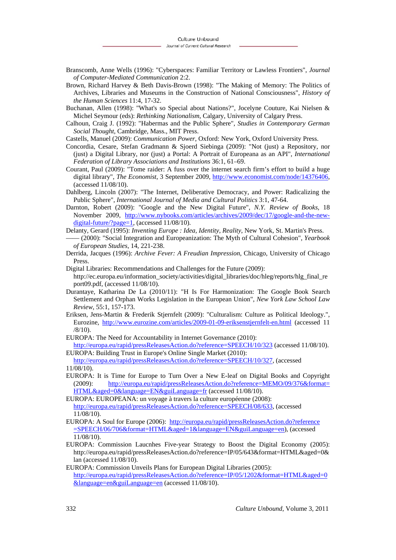- Branscomb, Anne Wells (1996): "Cyberspaces: Familiar Territory or Lawless Frontiers", *Journal of Computer-Mediated Communication* 2:2.
- Brown, Richard Harvey & Beth Davis-Brown (1998): "The Making of Memory: The Politics of Archives, Libraries and Museums in the Construction of National Consciousness", *History of the Human Sciences* 11:4, 17-32.
- Buchanan, Allen (1998): "What's so Special about Nations?", Jocelyne Couture, Kai Nielsen & Michel Seymour (eds): *Rethinking Nationalism*, Calgary, University of Calgary Press.
- Calhoun, Craig J. (1992): "Habermas and the Public Sphere", *Studies in Contemporary German Social Thought*, Cambridge, Mass., MIT Press.
- Castells, Manuel (2009): *Communication Power*, Oxford: New York, Oxford University Press.
- Concordia, Cesare, Stefan Gradmann & Sjoerd Siebinga (2009): "Not (just) a Repository, nor (just) a Digital Library, nor (just) a Portal: A Portrait of Europeana as an API", *International Federation of Library Associations and Institutions* 36:1, 61–69.
- Courant, Paul (2009): "Tome raider: A fuss over the internet search firm's effort to build a huge digital library", *The Economist*, 3 September 2009, http://www.economist.com/node/14376406, (accessed 11/08/10).
- Dahlberg, Lincoln (2007): "The Internet, Deliberative Democracy, and Power: Radicalizing the Public Sphere", *International Journal of Media and Cultural Politics* 3:1, 47-64.
- Darnton, Robert (2009): "Google and the New Digital Future", *N.Y. Review of Books*, 18 November 2009, http://www.nybooks.com/articles/archives/2009/dec/17/google-and-the-newdigital-future/?page=1, (accessed 11/08/10).
- Delanty, Gerard (1995): *Inventing Europe : Idea, Identity, Reality*, New York, St. Martin's Press. –––– (2000): "Social Integration and Europeanization: The Myth of Cultural Cohesion", *Yearbook* 
	- *of European Studies*, 14, 221-238.
- Derrida, Jacques (1996): *Archive Fever: A Freudian Impression*, Chicago, University of Chicago Press.
- Digital Libraries: Recommendations and Challenges for the Future (2009):

http://ec.europa.eu/information\_society/activities/digital\_libraries/doc/hleg/reports/hlg\_final\_re port09.pdf, (accessed 11/08/10).

- Durantaye, Katharina De La (2010/11): "H Is For Harmonization: The Google Book Search Settlement and Orphan Works Legislation in the European Union", *New York Law School Law Review*, 55:1, 157-173.
- Eriksen, Jens-Martin & Frederik Stjernfelt (2009): "Culturalism: Culture as Political Ideology.", Eurozine, http://www.eurozine.com/articles/2009-01-09-eriksenstjernfelt-en.html (accessed 11 /8/10).
- EUROPA: The Need for Accountability in Internet Governance (2010):
- http://europa.eu/rapid/pressReleasesAction.do?reference=SPEECH/10/323 (accessed 11/08/10). EUROPA: Building Trust in Europe's Online Single Market (2010):
- http://europa.eu/rapid/pressReleasesAction.do?reference=SPEECH/10/327, (accessed 11/08/10).
- EUROPA: It is Time for Europe to Turn Over a New E-leaf on Digital Books and Copyright (2009): http://europa.eu/rapid/pressReleasesAction.do?reference=MEMO/09/376&format= HTML&aged=0&language=EN&guiLanguage=fr (accessed 11/08/10).
- EUROPA: EUROPEANA: un voyage à travers la culture européenne (2008): http://europa.eu/rapid/pressReleasesAction.do?reference=SPEECH/08/633, (accessed 11/08/10).
- EUROPA: A Soul for Europe (2006): http://europa.eu/rapid/pressReleasesAction.do?reference =SPEECH/06/706&format=HTML&aged=1&language=EN&guiLanguage=en), (accessed 11/08/10).
- EUROPA: Commission Laucnhes Five-year Strategy to Boost the Digital Economy (2005): http://europa.eu/rapid/pressReleasesAction.do?reference=IP/05/643&format=HTML&aged=0& lan (accessed 11/08/10).
- EUROPA: Commission Unveils Plans for European Digital Libraries (2005): http://europa.eu/rapid/pressReleasesAction.do?reference=IP/05/1202&format=HTML&aged=0 &language=en&guiLanguage=en (accessed 11/08/10).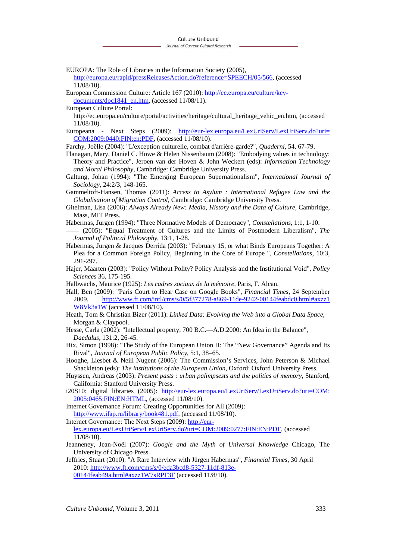- EUROPA: The Role of Libraries in the Information Society (2005), http://europa.eu/rapid/pressReleasesAction.do?reference=SPEECH/05/566, (accessed 11/08/10).
- European Commission Culture: Article 167 (2010): http://ec.europa.eu/culture/keydocuments/doc1841\_en.htm, (accessed 11/08/11).
- European Culture Portal:

http://ec.europa.eu/culture/portal/activities/heritage/cultural\_heritage\_vehic\_en.htm, (accessed 11/08/10).

Europeana - Next Steps (2009): http://eur-lex.europa.eu/LexUriServ/LexUriServ.do?uri= COM:2009:0440:FIN:en:PDF, (accessed 11/08/10).

Farchy, Joëlle (2004): "L'exception culturelle, combat d'arrière-garde?", *Quaderni*, 54, 67-79.

- Flanagan, Mary, Daniel C. Howe & Helen Nissenbaum (2008): "Embodying values in technology: Theory and Practice", Jeroen van der Hoven & John Weckert (eds): *Information Technology and Moral Philosophy*, Cambridge: Cambridge University Press.
- Galtung, Johan (1994): "The Emerging European Supernationalism", *International Journal of Sociology*, 24:2/3, 148-165.

Gammeltoft-Hansen, Thomas (2011): *Access to Asylum : International Refugee Law and the Globalisation of Migration Control*, Cambridge: Cambridge University Press.

- Gitelman, Lisa (2006): *Always Already New: Media, History and the Data of Culture*, Cambridge, Mass, MIT Press.
- Habermas, Jürgen (1994): "Three Normative Models of Democracy", *Constellations*, 1:1, 1-10.
- –––– (2005): "Equal Treatment of Cultures and the Limits of Postmodern Liberalism", *The Journal of Political Philosophy*, 13:1, 1-28.
- Habermas, Jürgen & Jacques Derrida (2003): "February 15, or what Binds Europeans Together: A Plea for a Common Foreign Policy, Beginning in the Core of Europe ", *Constellations*, 10:3, 291-297.
- Hajer, Maarten (2003): "Policy Without Polity? Policy Analysis and the Institutional Void", *Policy Sciences* 36, 175-195.
- Halbwachs, Maurice (1925): *Les cadres sociaux de la mémoire*, Paris, F. Alcan.
- Hall, Ben (2009): "Paris Court to Hear Case on Google Books", *Financial Times*, 24 September 2009, http://www.ft.com/intl/cms/s/0/5f377278-a869-11de-9242-00144feabdc0.html#axzz1 W8Vk3a1W (accessed 11/08/10).
- Heath, Tom & Christian Bizer (2011): *Linked Data: Evolving the Web into a Global Data Space*, Morgan & Claypool.
- Hesse, Carla (2002): "Intellectual property, 700 B.C.—A.D.2000: An Idea in the Balance", *Daedalus*, 131:2, 26-45.
- Hix, Simon (1998): "The Study of the European Union II: The "New Governance" Agenda and Its Rival", *Journal of European Public Policy*, 5:1, 38–65.
- Hooghe, Liesbet & Neill Nugent (2006): The Commission's Services, John Peterson & Michael Shackleton (eds): *The institutions of the European Union*, Oxford: Oxford University Press.
- Huyssen, Andreas (2003): *Present pasts : urban palimpsests and the politics of memory*, Stanford, California: Stanford University Press.
- i20S10: digital libraries (2005): http://eur-lex.europa.eu/LexUriServ/LexUriServ.do?uri=COM: 2005:0465:FIN:EN:HTML, (accessed 11/08/10).

Internet Governance Forum: Creating Opportunities for All (2009): http://www.ifap.ru/library/book481.pdf, (accessed 11/08/10).

Internet Governance: The Next Steps (2009): http://eur-

lex.europa.eu/LexUriServ/LexUriServ.do?uri=COM:2009:0277:FIN:EN:PDF, (accessed 11/08/10).

Jeanneney, Jean-Noël (2007): *Google and the Myth of Universal Knowledge* Chicago, The University of Chicago Press.

Jeffries, Stuart (2010): "A Rare Interview with Jürgen Habermas", *Financial Times*, 30 April 2010: http://www.ft.com/cms/s/0/eda3bcd8-5327-11df-813e-00144feab49a.html#axzz1W7sRPF3F (accessed 11/8/10).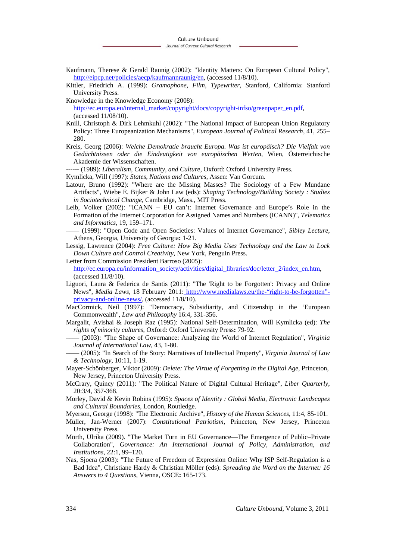- Kaufmann, Therese & Gerald Raunig (2002): "Identity Matters: On European Cultural Policy", http://eipcp.net/policies/aecp/kaufmannraunig/en, (accessed 11/8/10).
- Kittler, Friedrich A. (1999): *Gramophone, Film, Typewriter*, Stanford, California: Stanford University Press.
- Knowledge in the Knowledge Economy (2008):

http://ec.europa.eu/internal\_market/copyright/docs/copyright-infso/greenpaper\_en.pdf, (accessed 11/08/10).

- Knill, Christoph & Dirk Lehmkuhl (2002): "The National Impact of European Union Regulatory Policy: Three Europeanization Mechanisms", *European Journal of Political Research*, 41, 255– 280.
- Kreis, Georg (2006): *Welche Demokratie braucht Europa. Was ist europäisch? Die Vielfalt von Gedächtnissen oder die Eindeutigkeit von europäischen Werten*, Wien, Österreichische Akademie der Wissenschaften.
- ------ (1989): *Liberalism, Community, and Culture*, Oxford: Oxford University Press.
- Kymlicka, Will (1997): *States, Nations and Cultures*, Assen: Van Gorcum.
- Latour, Bruno (1992): "Where are the Missing Masses? The Sociology of a Few Mundane Artifacts", Wiebe E. Bijker & John Law (eds): *Shaping Technology/Building Society : Studies in Sociotechnical Change*, Cambridge, Mass., MIT Press.
- Leib, Volker (2002): "ICANN EU can't: Internet Governance and Europe's Role in the Formation of the Internet Corporation for Assigned Names and Numbers (ICANN)", *Telematics and Informatics*, 19, 159–171.
- –––– (1999): "Open Code and Open Societies: Values of Internet Governance", *Sibley Lecture*, Athens, Georgia, University of Georgia**:** 1-21.
- Lessig, Lawrence (2004): *Free Culture: How Big Media Uses Technology and the Law to Lock Down Culture and Control Creativity*, New York, Penguin Press.
- Letter from Commission President Barroso (2005): http://ec.europa.eu/information\_society/activities/digital\_libraries/doc/letter\_2/index\_en.htm, (accessed 11/8/10).
- Liguori, Laura & Federica de Santis (2011): "The 'Right to be Forgotten': Privacy and Online News", *Media Laws*, 18 February 2011: http://www.medialaws.eu/the-"right-to-be-forgotten" privacy-and-online-news/, (accessed 11/8/10).
- MacCormick, Neil (1997): "Democracy, Subsidiarity, and Citizenship in the 'European Commonwealth", *Law and Philosophy* 16:4, 331-356.
- Margalit, Avishai & Joseph Raz (1995): National Self-Determination, Will Kymlicka (ed): *The rights of minority cultures*, Oxford: Oxford University Press**:** 79-92.
- –––– (2003): "The Shape of Governance: Analyzing the World of Internet Regulation", *Virginia Journal of International Law*, 43, 1-80.
- –––– (2005): "In Search of the Story: Narratives of Intellectual Property", *Virginia Journal of Law & Technology*, 10:11, 1-19.
- Mayer-Schönberger, Viktor (2009): *Delete: The Virtue of Forgetting in the Digital Age*, Princeton, New Jersey, Princeton University Press.
- McCrary, Quincy (2011): "The Political Nature of Digital Cultural Heritage", *Liber Quarterly*, 20:3/4, 357-368.
- Morley, David & Kevin Robins (1995): *Spaces of Identity : Global Media, Electronic Landscapes and Cultural Boundaries*, London, Routledge.
- Myerson, George (1998): "The Electronic Archive", *History of the Human Sciences*, 11:4, 85-101.
- Müller, Jan-Werner (2007): *Constitutional Patriotism*, Princeton, New Jersey, Princeton University Press.
- Mörth, Ulrika (2009). "The Market Turn in EU Governance—The Emergence of Public–Private Collaboration", *Governance: An International Journal of Policy, Administration, and Institutions*, 22:1, 99–120.
- Nas, Sjoera (2003): "The Future of Freedom of Expression Online: Why ISP Self-Regulation is a Bad Idea", Christiane Hardy & Christian Möller (eds): *Spreading the Word on the Internet: 16 Answers to 4 Questions*, Vienna, OSCE**:** 165-173.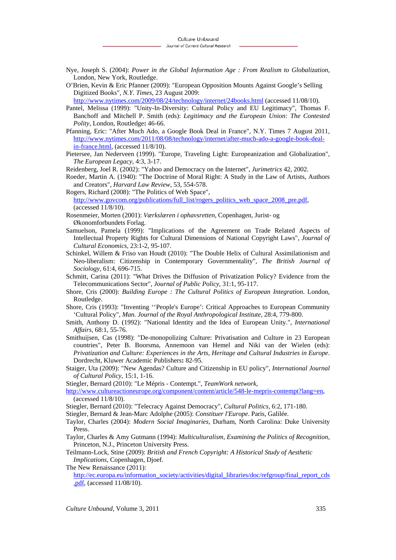- Nye, Joseph S. (2004): *Power in the Global Information Age : From Realism to Globalization*, London, New York, Routledge.
- O'Brien, Kevin & Eric Pfanner (2009): "European Opposition Mounts Against Google's Selling Digitized Books", *N.Y. Times*, 23 August 2009:

http://www.nytimes.com/2009/08/24/technology/internet/24books.html (accessed 11/08/10).

- Pantel, Melissa (1999): "Unity-In-Diversity: Cultural Policy and EU Legitimacy", Thomas F. Banchoff and Mitchell P. Smith (eds): *Legitimacy and the European Union: The Contested Polity*, London, Routledge**:** 46-66.
- Pfanning, Eric: "After Much Ado, a Google Book Deal in France", N.Y. Times 7 August 2011, http://www.nytimes.com/2011/08/08/technology/internet/after-much-ado-a-google-book-dealin-france.html, (accessed 11/8/10).
- Pietersee, Jan Nederveen (1999). "Europe, Traveling Light: Europeanization and Globalization", *The European Legacy*, 4:3, 3-17.

Reidenberg, Joel R. (2002): "Yahoo and Democracy on the Internet", *Jurimetrics* 42, 2002.

- Roeder, Martin A. (1940): "The Doctrine of Moral Right: A Study in the Law of Artists, Authors and Creators", *Harvard Law Review*, 53, 554-578.
- Rogers, Richard (2008): "The Politics of Web Space", http://www.govcom.org/publications/full\_list/rogers\_politics\_web\_space\_2008\_pre.pdf, (accessed 11/8/10).
- Rosenmeier, Morten (2001): *Værkslæren i ophavsretten*, Copenhagen, Jurist- og Økonomforbundets Forlag.
- Samuelson, Pamela (1999): "Implications of the Agreement on Trade Related Aspects of Intellectual Property Rights for Cultural Dimensions of National Copyright Laws", *Journal of Cultural Economics*, 23:1-2, 95-107.
- Schinkel, Willem & Friso van Houdt (2010): "The Double Helix of Cultural Assimilationism and Neo-liberalism: Citizenship in Contemporary Governmentality", *The British Journal of Sociology*, 61:4, 696-715.
- Schmitt, Carina (2011): "What Drives the Diffusion of Privatization Policy? Evidence from the Telecommunications Sector", *Journal of Public Policy*, 31:1, 95-117.
- Shore, Cris (2000): *Building Europe : The Cultural Politics of European Integration*. London, Routledge.
- Shore, Cris (1993): "Inventing ''People's Europe': Critical Approaches to European Community 'Cultural Policy", *Man. Journal of the Royal Anthropological Institute*, 28:4, 779-800.
- Smith, Anthony D. (1992): "National Identity and the Idea of European Unity.", *International Affairs*, 68:1, 55-76.
- Smithuijsen, Cas (1998): "De-monopolizing Culture: Privatisation and Culture in 23 European countries", Peter B. Boorsma, Annemoon van Hemel and Niki van der Wielen (eds): *Privatization and Culture: Experiences in the Arts, Heritage and Cultural Industries in Europe*. Dordrecht, Kluwer Academic Publishers**:** 82-95.
- Staiger, Uta (2009): "New Agendas? Culture and Citizenship in EU policy", *International Journal of Cultural Policy*, 15:1, 1-16.

Stiegler, Bernard (2010): "Le Mépris - Contempt.", *TeamWork network*,

http://www.cultureactioneurope.org/component/content/article/548-le-mepris-contempt?lang=en, (accessed 11/8/10).

- Stiegler, Bernard (2010): "Telecracy Against Democracy", *Cultural Politics*, 6:2, 171-180.
- Stiegler, Bernard & Jean-Marc Adolphe (2005): *Constituer l'Europe*. Paris, Galilée.
- Taylor, Charles (2004): *Modern Social Imaginaries*, Durham, North Carolina: Duke University **Press**
- Taylor, Charles & Amy Gutmann (1994): *Multiculturalism, Examining the Politics of Recognition*, Princeton, N.J., Princeton University Press.
- Teilmann-Lock, Stine (2009): *British and French Copyright: A Historical Study of Aesthetic Implications*, Copenhagen, Djoef.
- The New Renaissance (2011):

http://ec.europa.eu/information\_society/activities/digital\_libraries/doc/refgroup/final\_report\_cds .pdf, (accessed 11/08/10).